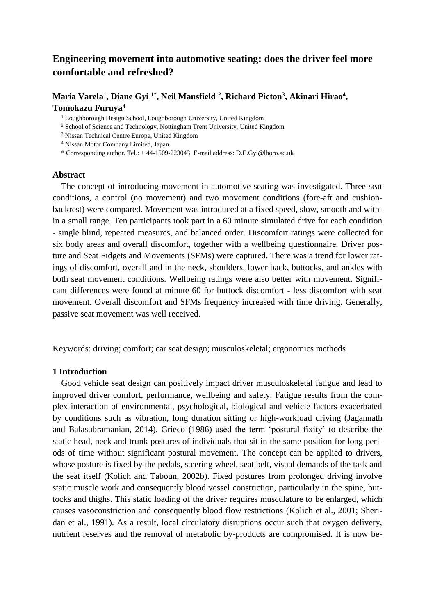# **Engineering movement into automotive seating: does the driver feel more comfortable and refreshed?**

# Maria Varela<sup>1</sup>, Diane Gyi <sup>1\*</sup>, Neil Mansfield<sup>2</sup>, Richard Picton<sup>3</sup>, Akinari Hirao<sup>4</sup>, **Tomokazu Furuya 4**

<sup>1</sup> Loughborough Design School, Loughborough University, United Kingdom

<sup>2</sup> School of Science and Technology, Nottingham Trent University, United Kingdom

<sup>3</sup> Nissan Technical Centre Europe, United Kingdom

<sup>4</sup> Nissan Motor Company Limited, Japan

\* Corresponding author. Tel.: + 44-1509-223043. E-mail address: D.E.Gyi@lboro.ac.uk

# **Abstract**

The concept of introducing movement in automotive seating was investigated. Three seat conditions, a control (no movement) and two movement conditions (fore-aft and cushionbackrest) were compared. Movement was introduced at a fixed speed, slow, smooth and within a small range. Ten participants took part in a 60 minute simulated drive for each condition - single blind, repeated measures, and balanced order. Discomfort ratings were collected for six body areas and overall discomfort, together with a wellbeing questionnaire. Driver posture and Seat Fidgets and Movements (SFMs) were captured. There was a trend for lower ratings of discomfort, overall and in the neck, shoulders, lower back, buttocks, and ankles with both seat movement conditions. Wellbeing ratings were also better with movement. Significant differences were found at minute 60 for buttock discomfort - less discomfort with seat movement. Overall discomfort and SFMs frequency increased with time driving. Generally, passive seat movement was well received.

Keywords: driving; comfort; car seat design; musculoskeletal; ergonomics methods

# **1 Introduction**

Good vehicle seat design can positively impact driver musculoskeletal fatigue and lead to improved driver comfort, performance, wellbeing and safety. Fatigue results from the complex interaction of environmental, psychological, biological and vehicle factors exacerbated by conditions such as vibration, long duration sitting or high-workload driving (Jagannath and Balasubramanian, 2014). Grieco (1986) used the term 'postural fixity' to describe the static head, neck and trunk postures of individuals that sit in the same position for long periods of time without significant postural movement. The concept can be applied to drivers, whose posture is fixed by the pedals, steering wheel, seat belt, visual demands of the task and the seat itself (Kolich and Taboun, 2002b). Fixed postures from prolonged driving involve static muscle work and consequently blood vessel constriction, particularly in the spine, buttocks and thighs. This static loading of the driver requires musculature to be enlarged, which causes vasoconstriction and consequently blood flow restrictions (Kolich et al., 2001; Sheridan et al., 1991). As a result, local circulatory disruptions occur such that oxygen delivery, nutrient reserves and the removal of metabolic by-products are compromised. It is now be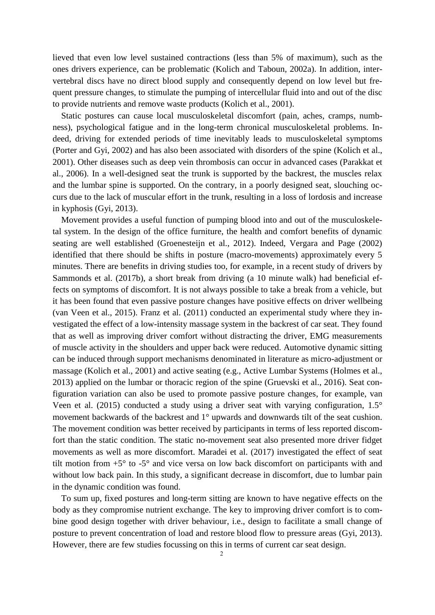lieved that even low level sustained contractions (less than 5% of maximum), such as the ones drivers experience, can be problematic (Kolich and Taboun, 2002a). In addition, intervertebral discs have no direct blood supply and consequently depend on low level but frequent pressure changes, to stimulate the pumping of intercellular fluid into and out of the disc to provide nutrients and remove waste products (Kolich et al., 2001).

Static postures can cause local musculoskeletal discomfort (pain, aches, cramps, numbness), psychological fatigue and in the long-term chronical musculoskeletal problems. Indeed, driving for extended periods of time inevitably leads to musculoskeletal symptoms (Porter and Gyi, 2002) and has also been associated with disorders of the spine (Kolich et al., 2001). Other diseases such as deep vein thrombosis can occur in advanced cases (Parakkat et al., 2006). In a well-designed seat the trunk is supported by the backrest, the muscles relax and the lumbar spine is supported. On the contrary, in a poorly designed seat, slouching occurs due to the lack of muscular effort in the trunk, resulting in a loss of lordosis and increase in kyphosis (Gyi, 2013).

Movement provides a useful function of pumping blood into and out of the musculoskeletal system. In the design of the office furniture, the health and comfort benefits of dynamic seating are well established (Groenesteijn et al., 2012). Indeed, Vergara and Page (2002) identified that there should be shifts in posture (macro-movements) approximately every 5 minutes. There are benefits in driving studies too, for example, in a recent study of drivers by Sammonds et al. (2017b), a short break from driving (a 10 minute walk) had beneficial effects on symptoms of discomfort. It is not always possible to take a break from a vehicle, but it has been found that even passive posture changes have positive effects on driver wellbeing (van Veen et al., 2015). Franz et al. (2011) conducted an experimental study where they investigated the effect of a low-intensity massage system in the backrest of car seat. They found that as well as improving driver comfort without distracting the driver, EMG measurements of muscle activity in the shoulders and upper back were reduced. Automotive dynamic sitting can be induced through support mechanisms denominated in literature as micro-adjustment or massage (Kolich et al., 2001) and active seating (e.g., Active Lumbar Systems (Holmes et al., 2013) applied on the lumbar or thoracic region of the spine (Gruevski et al., 2016). Seat configuration variation can also be used to promote passive posture changes, for example, van Veen et al. (2015) conducted a study using a driver seat with varying configuration, 1.5° movement backwards of the backrest and 1° upwards and downwards tilt of the seat cushion. The movement condition was better received by participants in terms of less reported discomfort than the static condition. The static no-movement seat also presented more driver fidget movements as well as more discomfort. Maradei et al. (2017) investigated the effect of seat tilt motion from  $+5^{\circ}$  to  $-5^{\circ}$  and vice versa on low back discomfort on participants with and without low back pain. In this study, a significant decrease in discomfort, due to lumbar pain in the dynamic condition was found.

To sum up, fixed postures and long-term sitting are known to have negative effects on the body as they compromise nutrient exchange. The key to improving driver comfort is to combine good design together with driver behaviour, i.e., design to facilitate a small change of posture to prevent concentration of load and restore blood flow to pressure areas (Gyi, 2013). However, there are few studies focussing on this in terms of current car seat design.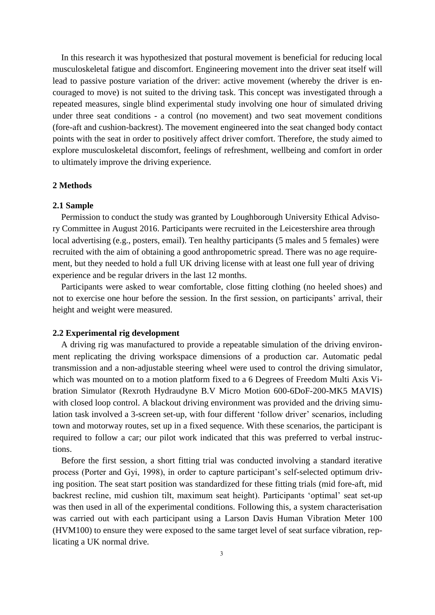In this research it was hypothesized that postural movement is beneficial for reducing local musculoskeletal fatigue and discomfort. Engineering movement into the driver seat itself will lead to passive posture variation of the driver: active movement (whereby the driver is encouraged to move) is not suited to the driving task. This concept was investigated through a repeated measures, single blind experimental study involving one hour of simulated driving under three seat conditions - a control (no movement) and two seat movement conditions (fore-aft and cushion-backrest). The movement engineered into the seat changed body contact points with the seat in order to positively affect driver comfort. Therefore, the study aimed to explore musculoskeletal discomfort, feelings of refreshment, wellbeing and comfort in order to ultimately improve the driving experience.

### **2 Methods**

#### **2.1 Sample**

Permission to conduct the study was granted by Loughborough University Ethical Advisory Committee in August 2016. Participants were recruited in the Leicestershire area through local advertising (e.g., posters, email). Ten healthy participants (5 males and 5 females) were recruited with the aim of obtaining a good anthropometric spread. There was no age requirement, but they needed to hold a full UK driving license with at least one full year of driving experience and be regular drivers in the last 12 months.

Participants were asked to wear comfortable, close fitting clothing (no heeled shoes) and not to exercise one hour before the session. In the first session, on participants' arrival, their height and weight were measured.

# **2.2 Experimental rig development**

A driving rig was manufactured to provide a repeatable simulation of the driving environment replicating the driving workspace dimensions of a production car. Automatic pedal transmission and a non-adjustable steering wheel were used to control the driving simulator, which was mounted on to a motion platform fixed to a 6 Degrees of Freedom Multi Axis Vibration Simulator (Rexroth Hydraudyne B.V Micro Motion 600-6DoF-200-MK5 MAVIS) with closed loop control. A blackout driving environment was provided and the driving simulation task involved a 3-screen set-up, with four different 'follow driver' scenarios, including town and motorway routes, set up in a fixed sequence. With these scenarios, the participant is required to follow a car; our pilot work indicated that this was preferred to verbal instructions.

Before the first session, a short fitting trial was conducted involving a standard iterative process (Porter and Gyi, 1998), in order to capture participant's self-selected optimum driving position. The seat start position was standardized for these fitting trials (mid fore-aft, mid backrest recline, mid cushion tilt, maximum seat height). Participants 'optimal' seat set-up was then used in all of the experimental conditions. Following this, a system characterisation was carried out with each participant using a Larson Davis Human Vibration Meter 100 (HVM100) to ensure they were exposed to the same target level of seat surface vibration, replicating a UK normal drive.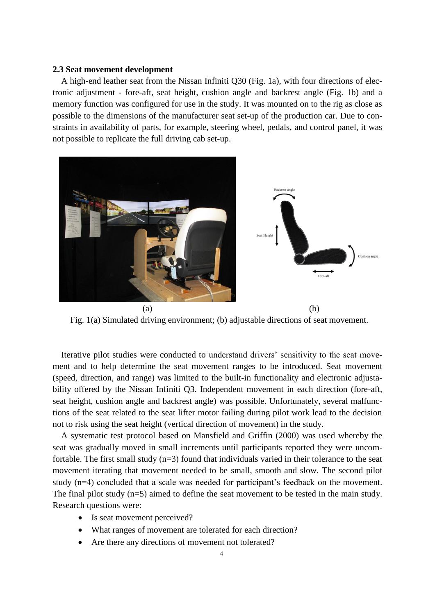#### **2.3 Seat movement development**

A high-end leather seat from the Nissan Infiniti Q30 (Fig. 1a), with four directions of electronic adjustment - fore-aft, seat height, cushion angle and backrest angle (Fig. 1b) and a memory function was configured for use in the study. It was mounted on to the rig as close as possible to the dimensions of the manufacturer seat set-up of the production car. Due to constraints in availability of parts, for example, steering wheel, pedals, and control panel, it was not possible to replicate the full driving cab set-up.



Fig. 1(a) Simulated driving environment; (b) adjustable directions of seat movement.

Iterative pilot studies were conducted to understand drivers' sensitivity to the seat movement and to help determine the seat movement ranges to be introduced. Seat movement (speed, direction, and range) was limited to the built-in functionality and electronic adjustability offered by the Nissan Infiniti Q3. Independent movement in each direction (fore-aft, seat height, cushion angle and backrest angle) was possible. Unfortunately, several malfunctions of the seat related to the seat lifter motor failing during pilot work lead to the decision not to risk using the seat height (vertical direction of movement) in the study.

A systematic test protocol based on Mansfield and Griffin (2000) was used whereby the seat was gradually moved in small increments until participants reported they were uncomfortable. The first small study (n=3) found that individuals varied in their tolerance to the seat movement iterating that movement needed to be small, smooth and slow. The second pilot study (n=4) concluded that a scale was needed for participant's feedback on the movement. The final pilot study (n=5) aimed to define the seat movement to be tested in the main study. Research questions were:

- Is seat movement perceived?
- What ranges of movement are tolerated for each direction?
- Are there any directions of movement not tolerated?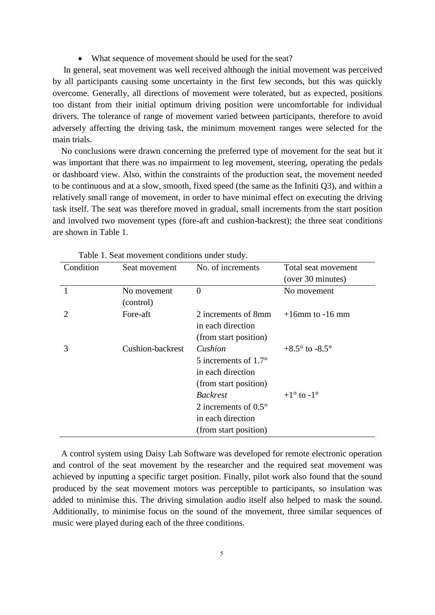What sequence of movement should be used for the seat?

In general, seat movement was well received although the initial movement was perceived by all participants causing some uncertainty in the first few seconds, but this was quickly overcome. Generally, all directions of movement were tolerated, but as expected, positions too distant from their initial optimum driving position were uncomfortable for individual drivers. The tolerance of range of movement varied between participants, therefore to avoid adversely affecting the driving task, the minimum movement ranges were selected for the main trials.

No conclusions were drawn concerning the preferred type of movement for the seat but it was important that there was no impairment to leg movement, steering, operating the pedals or dashboard view. Also, within the constraints of the production seat, the movement needed to be continuous and at a slow, smooth, fixed speed (the same as the Infiniti Q3), and within a relatively small range of movement, in order to have minimal effect on executing the driving task itself. The seat was therefore moved in gradual, small increments from the start position and involved two movement types (fore-aft and cushion-backrest); the three seat conditions are shown in Table 1.

| Condition | Seat movement    | No. of increments             | Total seat movement              |
|-----------|------------------|-------------------------------|----------------------------------|
|           |                  |                               | (over 30 minutes)                |
|           | No movement      | $\theta$                      | No movement                      |
|           | (control)        |                               |                                  |
|           | Fore-aft         | 2 increments of 8mm           | $+16$ mm to $-16$ mm             |
|           |                  | in each direction             |                                  |
|           |                  | (from start position)         |                                  |
| 3         | Cushion-backrest | Cushion                       | $+8.5^{\circ}$ to $-8.5^{\circ}$ |
|           |                  | 5 increments of $1.7^\circ$   |                                  |
|           |                  | in each direction             |                                  |
|           |                  | (from start position)         |                                  |
|           |                  | <b>Backrest</b>               | $+1^{\circ}$ to $-1^{\circ}$     |
|           |                  | 2 increments of $0.5^{\circ}$ |                                  |
|           |                  | in each direction             |                                  |
|           |                  | (from start position)         |                                  |

A control system using Daisy Lab Software was developed for remote electronic operation and control of the seat movement by the researcher and the required seat movement was achieved by inputting a specific target position. Finally, pilot work also found that the sound produced by the seat movement motors was perceptible to participants, so insulation was added to minimise this. The driving simulation audio itself also helped to mask the sound. Additionally, to minimise focus on the sound of the movement, three similar sequences of music were played during each of the three conditions.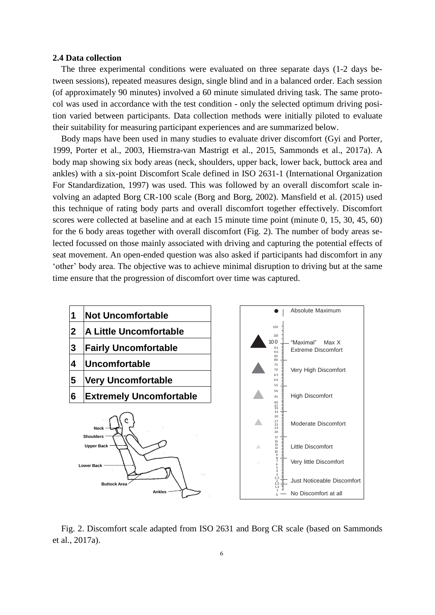### **2.4 Data collection**

The three experimental conditions were evaluated on three separate days (1-2 days between sessions), repeated measures design, single blind and in a balanced order. Each session (of approximately 90 minutes) involved a 60 minute simulated driving task. The same protocol was used in accordance with the test condition - only the selected optimum driving position varied between participants. Data collection methods were initially piloted to evaluate their suitability for measuring participant experiences and are summarized below.

Body maps have been used in many studies to evaluate driver discomfort (Gyi and Porter, 1999, Porter et al., 2003, Hiemstra-van Mastrigt et al., 2015, Sammonds et al., 2017a). A body map showing six body areas (neck, shoulders, upper back, lower back, buttock area and ankles) with a six-point Discomfort Scale defined in ISO 2631-1 (International Organization For Standardization, 1997) was used. This was followed by an overall discomfort scale involving an adapted Borg CR-100 scale (Borg and Borg, 2002). Mansfield et al. (2015) used this technique of rating body parts and overall discomfort together effectively. Discomfort scores were collected at baseline and at each 15 minute time point (minute 0, 15, 30, 45, 60) for the 6 body areas together with overall discomfort (Fig. 2). The number of body areas selected focussed on those mainly associated with driving and capturing the potential effects of seat movement. An open-ended question was also asked if participants had discomfort in any 'other' body area. The objective was to achieve minimal disruption to driving but at the same time ensure that the progression of discomfort over time was captured.



Fig. 2. Discomfort scale adapted from ISO 2631 and Borg CR scale (based on Sammonds et al., 2017a).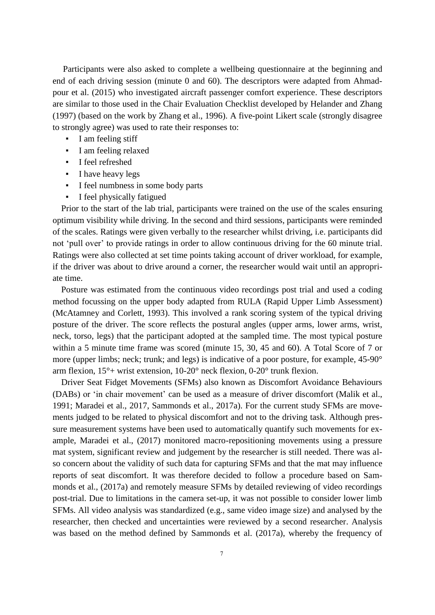Participants were also asked to complete a wellbeing questionnaire at the beginning and end of each driving session (minute 0 and 60). The descriptors were adapted from Ahmadpour et al. (2015) who investigated aircraft passenger comfort experience. These descriptors are similar to those used in the Chair Evaluation Checklist developed by Helander and Zhang (1997) (based on the work by Zhang et al., 1996). A five-point Likert scale (strongly disagree to strongly agree) was used to rate their responses to:

- I am feeling stiff
- I am feeling relaxed
- I feel refreshed
- I have heavy legs
- I feel numbness in some body parts
- I feel physically fatigued

Prior to the start of the lab trial, participants were trained on the use of the scales ensuring optimum visibility while driving. In the second and third sessions, participants were reminded of the scales. Ratings were given verbally to the researcher whilst driving, i.e. participants did not 'pull over' to provide ratings in order to allow continuous driving for the 60 minute trial. Ratings were also collected at set time points taking account of driver workload, for example, if the driver was about to drive around a corner, the researcher would wait until an appropriate time.

Posture was estimated from the continuous video recordings post trial and used a coding method focussing on the upper body adapted from RULA (Rapid Upper Limb Assessment) (McAtamney and Corlett, 1993). This involved a rank scoring system of the typical driving posture of the driver. The score reflects the postural angles (upper arms, lower arms, wrist, neck, torso, legs) that the participant adopted at the sampled time. The most typical posture within a 5 minute time frame was scored (minute 15, 30, 45 and 60). A Total Score of 7 or more (upper limbs; neck; trunk; and legs) is indicative of a poor posture, for example, 45-90° arm flexion, 15°+ wrist extension, 10-20° neck flexion, 0-20° trunk flexion.

Driver Seat Fidget Movements (SFMs) also known as Discomfort Avoidance Behaviours (DABs) or 'in chair movement' can be used as a measure of driver discomfort (Malik et al., 1991; Maradei et al., 2017, Sammonds et al., 2017a). For the current study SFMs are movements judged to be related to physical discomfort and not to the driving task. Although pressure measurement systems have been used to automatically quantify such movements for example, Maradei et al., (2017) monitored macro-repositioning movements using a pressure mat system, significant review and judgement by the researcher is still needed. There was also concern about the validity of such data for capturing SFMs and that the mat may influence reports of seat discomfort. It was therefore decided to follow a procedure based on Sammonds et al., (2017a) and remotely measure SFMs by detailed reviewing of video recordings post-trial. Due to limitations in the camera set-up, it was not possible to consider lower limb SFMs. All video analysis was standardized (e.g., same video image size) and analysed by the researcher, then checked and uncertainties were reviewed by a second researcher. Analysis was based on the method defined by Sammonds et al. (2017a), whereby the frequency of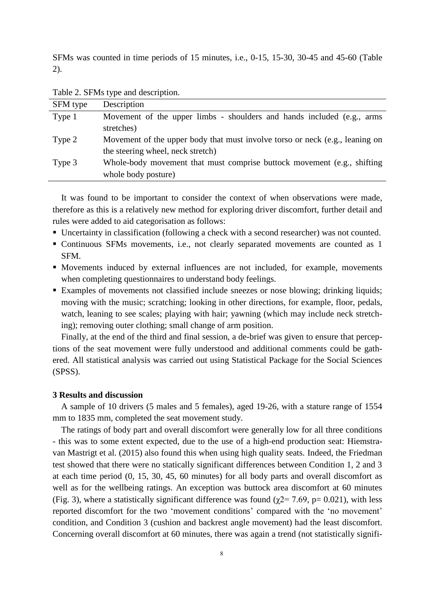SFMs was counted in time periods of 15 minutes, i.e., 0-15, 15-30, 30-45 and 45-60 (Table 2).

Table 2. SFMs type and description.

| SFM type | Description                                                                  |  |  |
|----------|------------------------------------------------------------------------------|--|--|
| Type 1   | Movement of the upper limbs - shoulders and hands included (e.g., arms       |  |  |
|          | stretches)                                                                   |  |  |
| Type 2   | Movement of the upper body that must involve torso or neck (e.g., leaning on |  |  |
|          | the steering wheel, neck stretch)                                            |  |  |
| Type 3   | Whole-body movement that must comprise buttock movement (e.g., shifting      |  |  |
|          | whole body posture)                                                          |  |  |

It was found to be important to consider the context of when observations were made, therefore as this is a relatively new method for exploring driver discomfort, further detail and rules were added to aid categorisation as follows:

- Uncertainty in classification (following a check with a second researcher) was not counted.
- Continuous SFMs movements, i.e., not clearly separated movements are counted as 1 SFM.
- Movements induced by external influences are not included, for example, movements when completing questionnaires to understand body feelings.
- Examples of movements not classified include sneezes or nose blowing; drinking liquids; moving with the music; scratching; looking in other directions, for example, floor, pedals, watch, leaning to see scales; playing with hair; yawning (which may include neck stretching); removing outer clothing; small change of arm position.

Finally, at the end of the third and final session, a de-brief was given to ensure that perceptions of the seat movement were fully understood and additional comments could be gathered. All statistical analysis was carried out using Statistical Package for the Social Sciences (SPSS).

# **3 Results and discussion**

A sample of 10 drivers (5 males and 5 females), aged 19-26, with a stature range of 1554 mm to 1835 mm, completed the seat movement study.

The ratings of body part and overall discomfort were generally low for all three conditions - this was to some extent expected, due to the use of a high-end production seat: Hiemstravan Mastrigt et al. (2015) also found this when using high quality seats. Indeed, the Friedman test showed that there were no statically significant differences between Condition 1, 2 and 3 at each time period (0, 15, 30, 45, 60 minutes) for all body parts and overall discomfort as well as for the wellbeing ratings. An exception was buttock area discomfort at 60 minutes (Fig. 3), where a statistically significant difference was found ( $\gamma$ 2= 7.69, p= 0.021), with less reported discomfort for the two 'movement conditions' compared with the 'no movement' condition, and Condition 3 (cushion and backrest angle movement) had the least discomfort. Concerning overall discomfort at 60 minutes, there was again a trend (not statistically signifi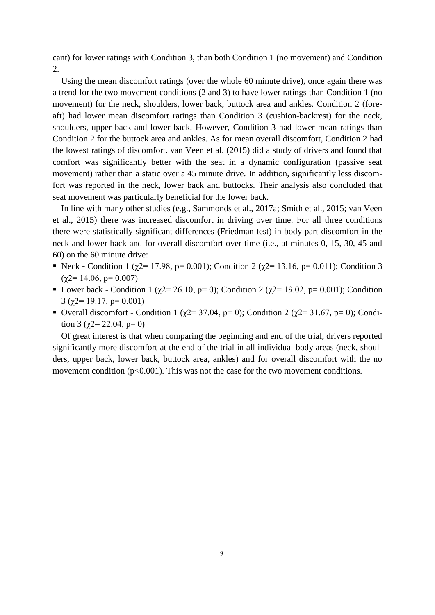cant) for lower ratings with Condition 3, than both Condition 1 (no movement) and Condition 2.

Using the mean discomfort ratings (over the whole 60 minute drive), once again there was a trend for the two movement conditions (2 and 3) to have lower ratings than Condition 1 (no movement) for the neck, shoulders, lower back, buttock area and ankles. Condition 2 (foreaft) had lower mean discomfort ratings than Condition 3 (cushion-backrest) for the neck, shoulders, upper back and lower back. However, Condition 3 had lower mean ratings than Condition 2 for the buttock area and ankles. As for mean overall discomfort, Condition 2 had the lowest ratings of discomfort. van Veen et al. (2015) did a study of drivers and found that comfort was significantly better with the seat in a dynamic configuration (passive seat movement) rather than a static over a 45 minute drive. In addition, significantly less discomfort was reported in the neck, lower back and buttocks. Their analysis also concluded that seat movement was particularly beneficial for the lower back.

In line with many other studies (e.g., Sammonds et al., 2017a; Smith et al., 2015; van Veen et al., 2015) there was increased discomfort in driving over time. For all three conditions there were statistically significant differences (Friedman test) in body part discomfort in the neck and lower back and for overall discomfort over time (i.e., at minutes 0, 15, 30, 45 and 60) on the 60 minute drive:

- Neck Condition 1 ( $\chi$ 2= 17.98, p= 0.001); Condition 2 ( $\chi$ 2= 13.16, p= 0.011); Condition 3  $(\gamma 2 = 14.06, p = 0.007)$
- **•** Lower back Condition 1 (χ2= 26.10, p= 0); Condition 2 (χ2= 19.02, p= 0.001); Condition 3 ( $\chi$ 2= 19.17, p= 0.001)
- Overall discomfort Condition 1 ( $\chi$ 2= 37.04, p= 0); Condition 2 ( $\chi$ 2= 31.67, p= 0); Condition 3 ( $\gamma$ 2= 22.04, p= 0)

Of great interest is that when comparing the beginning and end of the trial, drivers reported significantly more discomfort at the end of the trial in all individual body areas (neck, shoulders, upper back, lower back, buttock area, ankles) and for overall discomfort with the no movement condition  $(p<0.001)$ . This was not the case for the two movement conditions.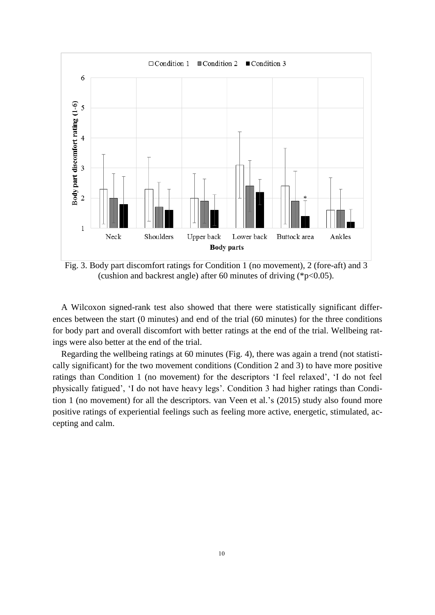

Fig. 3. Body part discomfort ratings for Condition 1 (no movement), 2 (fore-aft) and 3 (cushion and backrest angle) after 60 minutes of driving (\*p<0.05).

A Wilcoxon signed-rank test also showed that there were statistically significant differences between the start (0 minutes) and end of the trial (60 minutes) for the three conditions for body part and overall discomfort with better ratings at the end of the trial. Wellbeing ratings were also better at the end of the trial.

Regarding the wellbeing ratings at 60 minutes (Fig. 4), there was again a trend (not statistically significant) for the two movement conditions (Condition 2 and 3) to have more positive ratings than Condition 1 (no movement) for the descriptors 'I feel relaxed', 'I do not feel physically fatigued', 'I do not have heavy legs'. Condition 3 had higher ratings than Condition 1 (no movement) for all the descriptors. van Veen et al.'s (2015) study also found more positive ratings of experiential feelings such as feeling more active, energetic, stimulated, accepting and calm.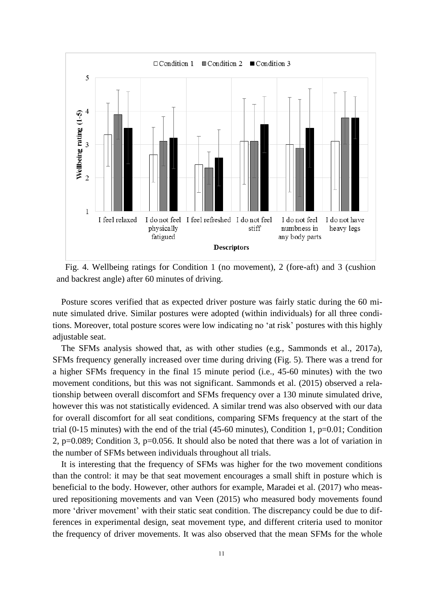

Fig. 4. Wellbeing ratings for Condition 1 (no movement), 2 (fore-aft) and 3 (cushion and backrest angle) after 60 minutes of driving.

Posture scores verified that as expected driver posture was fairly static during the 60 minute simulated drive. Similar postures were adopted (within individuals) for all three conditions. Moreover, total posture scores were low indicating no 'at risk' postures with this highly adjustable seat.

The SFMs analysis showed that, as with other studies (e.g., Sammonds et al., 2017a), SFMs frequency generally increased over time during driving (Fig. 5). There was a trend for a higher SFMs frequency in the final 15 minute period (i.e., 45-60 minutes) with the two movement conditions, but this was not significant. Sammonds et al. (2015) observed a relationship between overall discomfort and SFMs frequency over a 130 minute simulated drive, however this was not statistically evidenced. A similar trend was also observed with our data for overall discomfort for all seat conditions, comparing SFMs frequency at the start of the trial (0-15 minutes) with the end of the trial (45-60 minutes), Condition 1, p=0.01; Condition 2, p=0.089; Condition 3, p=0.056. It should also be noted that there was a lot of variation in the number of SFMs between individuals throughout all trials.

It is interesting that the frequency of SFMs was higher for the two movement conditions than the control: it may be that seat movement encourages a small shift in posture which is beneficial to the body. However, other authors for example, Maradei et al. (2017) who measured repositioning movements and van Veen (2015) who measured body movements found more 'driver movement' with their static seat condition. The discrepancy could be due to differences in experimental design, seat movement type, and different criteria used to monitor the frequency of driver movements. It was also observed that the mean SFMs for the whole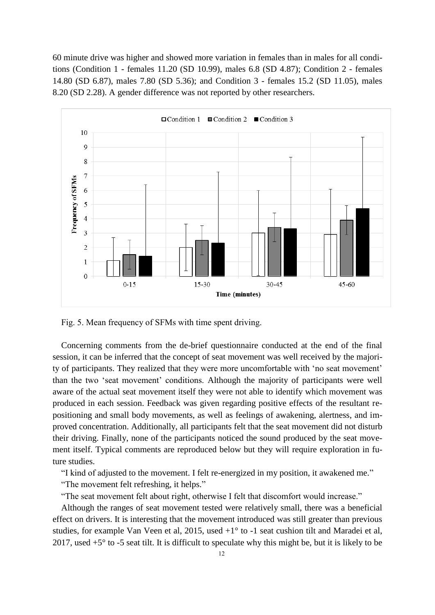60 minute drive was higher and showed more variation in females than in males for all conditions (Condition 1 - females 11.20 (SD 10.99), males 6.8 (SD 4.87); Condition 2 - females 14.80 (SD 6.87), males 7.80 (SD 5.36); and Condition 3 - females 15.2 (SD 11.05), males 8.20 (SD 2.28). A gender difference was not reported by other researchers.



Fig. 5. Mean frequency of SFMs with time spent driving.

Concerning comments from the de-brief questionnaire conducted at the end of the final session, it can be inferred that the concept of seat movement was well received by the majority of participants. They realized that they were more uncomfortable with 'no seat movement' than the two 'seat movement' conditions. Although the majority of participants were well aware of the actual seat movement itself they were not able to identify which movement was produced in each session. Feedback was given regarding positive effects of the resultant repositioning and small body movements, as well as feelings of awakening, alertness, and improved concentration. Additionally, all participants felt that the seat movement did not disturb their driving. Finally, none of the participants noticed the sound produced by the seat movement itself. Typical comments are reproduced below but they will require exploration in future studies.

"I kind of adjusted to the movement. I felt re-energized in my position, it awakened me."

"The movement felt refreshing, it helps."

"The seat movement felt about right, otherwise I felt that discomfort would increase."

Although the ranges of seat movement tested were relatively small, there was a beneficial effect on drivers. It is interesting that the movement introduced was still greater than previous studies, for example Van Veen et al, 2015, used +1° to -1 seat cushion tilt and Maradei et al, 2017, used  $+5^{\circ}$  to -5 seat tilt. It is difficult to speculate why this might be, but it is likely to be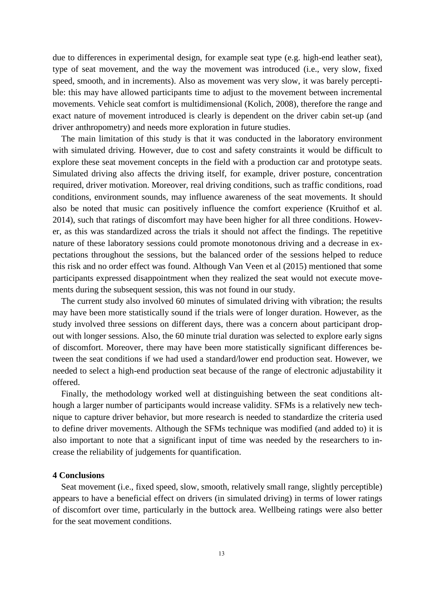due to differences in experimental design, for example seat type (e.g. high-end leather seat), type of seat movement, and the way the movement was introduced (i.e., very slow, fixed speed, smooth, and in increments). Also as movement was very slow, it was barely perceptible: this may have allowed participants time to adjust to the movement between incremental movements. Vehicle seat comfort is multidimensional (Kolich, 2008), therefore the range and exact nature of movement introduced is clearly is dependent on the driver cabin set-up (and driver anthropometry) and needs more exploration in future studies.

The main limitation of this study is that it was conducted in the laboratory environment with simulated driving. However, due to cost and safety constraints it would be difficult to explore these seat movement concepts in the field with a production car and prototype seats. Simulated driving also affects the driving itself, for example, driver posture, concentration required, driver motivation. Moreover, real driving conditions, such as traffic conditions, road conditions, environment sounds, may influence awareness of the seat movements. It should also be noted that music can positively influence the comfort experience (Kruithof et al. 2014), such that ratings of discomfort may have been higher for all three conditions. However, as this was standardized across the trials it should not affect the findings. The repetitive nature of these laboratory sessions could promote monotonous driving and a decrease in expectations throughout the sessions, but the balanced order of the sessions helped to reduce this risk and no order effect was found. Although Van Veen et al (2015) mentioned that some participants expressed disappointment when they realized the seat would not execute movements during the subsequent session, this was not found in our study.

The current study also involved 60 minutes of simulated driving with vibration; the results may have been more statistically sound if the trials were of longer duration. However, as the study involved three sessions on different days, there was a concern about participant dropout with longer sessions. Also, the 60 minute trial duration was selected to explore early signs of discomfort. Moreover, there may have been more statistically significant differences between the seat conditions if we had used a standard/lower end production seat. However, we needed to select a high-end production seat because of the range of electronic adjustability it offered.

Finally, the methodology worked well at distinguishing between the seat conditions although a larger number of participants would increase validity. SFMs is a relatively new technique to capture driver behavior, but more research is needed to standardize the criteria used to define driver movements. Although the SFMs technique was modified (and added to) it is also important to note that a significant input of time was needed by the researchers to increase the reliability of judgements for quantification.

#### **4 Conclusions**

Seat movement (i.e., fixed speed, slow, smooth, relatively small range, slightly perceptible) appears to have a beneficial effect on drivers (in simulated driving) in terms of lower ratings of discomfort over time, particularly in the buttock area. Wellbeing ratings were also better for the seat movement conditions.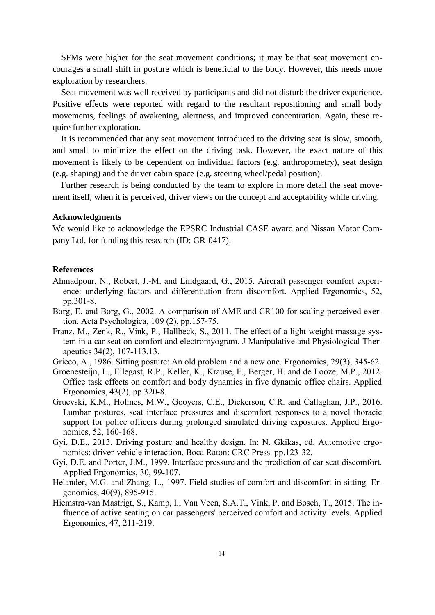SFMs were higher for the seat movement conditions; it may be that seat movement encourages a small shift in posture which is beneficial to the body. However, this needs more exploration by researchers.

Seat movement was well received by participants and did not disturb the driver experience. Positive effects were reported with regard to the resultant repositioning and small body movements, feelings of awakening, alertness, and improved concentration. Again, these require further exploration.

It is recommended that any seat movement introduced to the driving seat is slow, smooth, and small to minimize the effect on the driving task. However, the exact nature of this movement is likely to be dependent on individual factors (e.g. anthropometry), seat design (e.g. shaping) and the driver cabin space (e.g. steering wheel/pedal position).

Further research is being conducted by the team to explore in more detail the seat movement itself, when it is perceived, driver views on the concept and acceptability while driving.

#### **Acknowledgments**

We would like to acknowledge the EPSRC Industrial CASE award and Nissan Motor Company Ltd. for funding this research (ID: GR-0417).

#### **References**

- Ahmadpour, N., Robert, J.-M. and Lindgaard, G., 2015. Aircraft passenger comfort experience: underlying factors and differentiation from discomfort. Applied Ergonomics, 52, pp.301-8.
- Borg, E. and Borg, G., 2002. A comparison of AME and CR100 for scaling perceived exertion. Acta Psychologica, 109 (2), pp.157-75.
- Franz, M., Zenk, R., Vink, P., Hallbeck, S., 2011. The effect of a light weight massage system in a car seat on comfort and electromyogram. J Manipulative and Physiological Therapeutics 34(2), 107-113.13.

Grieco, A., 1986. Sitting posture: An old problem and a new one. Ergonomics, 29(3), 345-62.

- Groenesteijn, L., Ellegast, R.P., Keller, K., Krause, F., Berger, H. and de Looze, M.P., 2012. Office task effects on comfort and body dynamics in five dynamic office chairs. Applied Ergonomics, 43(2), pp.320-8.
- Gruevski, K.M., Holmes, M.W., Gooyers, C.E., Dickerson, C.R. and Callaghan, J.P., 2016. Lumbar postures, seat interface pressures and discomfort responses to a novel thoracic support for police officers during prolonged simulated driving exposures. Applied Ergonomics, 52, 160-168.
- Gyi, D.E., 2013. Driving posture and healthy design. In: N. Gkikas, ed. Automotive ergonomics: driver-vehicle interaction. Boca Raton: CRC Press. pp.123-32.
- Gyi, D.E. and Porter, J.M., 1999. Interface pressure and the prediction of car seat discomfort. Applied Ergonomics, 30, 99-107.
- Helander, M.G. and Zhang, L., 1997. Field studies of comfort and discomfort in sitting. Ergonomics, 40(9), 895-915.
- Hiemstra-van Mastrigt, S., Kamp, I., Van Veen, S.A.T., Vink, P. and Bosch, T., 2015. The influence of active seating on car passengers' perceived comfort and activity levels. Applied Ergonomics, 47, 211-219.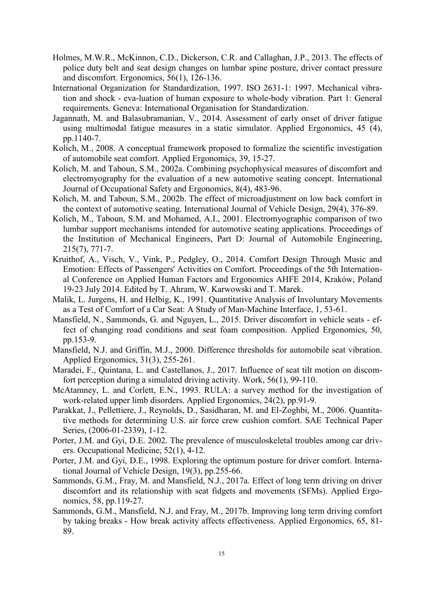- Holmes, M.W.R., McKinnon, C.D., Dickerson, C.R. and Callaghan, J.P., 2013. The effects of police duty belt and seat design changes on lumbar spine posture, driver contact pressure and discomfort. Ergonomics, 56(1), 126-136.
- International Organization for Standardization, 1997. ISO 2631-1: 1997. Mechanical vibration and shock - eva-luation of human exposure to whole-body vibration. Part 1: General requirements. Geneva: International Organisation for Standardization.
- Jagannath, M. and Balasubramanian, V., 2014. Assessment of early onset of driver fatigue using multimodal fatigue measures in a static simulator. Applied Ergonomics, 45 (4), pp.1140-7.
- Kolich, M., 2008. A conceptual framework proposed to formalize the scientific investigation of automobile seat comfort. Applied Ergonomics, 39, 15-27.
- Kolich, M. and Taboun, S.M., 2002a. Combining psychophysical measures of discomfort and electromyography for the evaluation of a new automotive seating concept. International Journal of Occupational Safety and Ergonomics, 8(4), 483-96.
- Kolich, M. and Taboun, S.M., 2002b. The effect of microadjustment on low back comfort in the context of automotive seating. International Journal of Vehicle Design, 29(4), 376-89.
- Kolich, M., Taboun, S.M. and Mohamed, A.I., 2001. Electromyographic comparison of two lumbar support mechanisms intended for automotive seating applications. Proceedings of the Institution of Mechanical Engineers, Part D: Journal of Automobile Engineering, 215(7), 771-7.
- Kruithof, A., Visch, V., Vink, P., Pedgley, O., 2014. Comfort Design Through Music and Emotion: Effects of Passengers' Activities on Comfort. Proceedings of the 5th International Conference on Applied Human Factors and Ergonomics AHFE 2014, Kraków, Poland 19-23 July 2014. Edited by T. Ahram, W. Karwowski and T. Marek.
- Malik, L. Jurgens, H. and Helbig, K., 1991. Quantitative Analysis of Involuntary Movements as a Test of Comfort of a Car Seat: A Study of Man-Machine Interface, 1, 53-61.
- Mansfield, N., Sammonds, G. and Nguyen, L., 2015. Driver discomfort in vehicle seats effect of changing road conditions and seat foam composition. Applied Ergonomics, 50, pp.153-9.
- Mansfield, N.J. and Griffin, M.J., 2000. Difference thresholds for automobile seat vibration. Applied Ergonomics, 31(3), 255-261.
- Maradei, F., Quintana, L. and Castellanos, J., 2017. Influence of seat tilt motion on discomfort perception during a simulated driving activity. Work, 56(1), 99-110.
- McAtamney, L. and Corlett, E.N., 1993. RULA: a survey method for the investigation of work-related upper limb disorders. Applied Ergonomics, 24(2), pp.91-9.
- Parakkat, J., Pellettiere, J., Reynolds, D., Sasidharan, M. and El-Zoghbi, M., 2006. Quantitative methods for determining U.S. air force crew cushion comfort. SAE Technical Paper Series, (2006-01-2339), 1-12.
- Porter, J.M. and Gyi, D.E. 2002. The prevalence of musculoskeletal troubles among car drivers. Occupational Medicine, 52(1), 4-12.
- Porter, J.M. and Gyi, D.E., 1998. Exploring the optimum posture for driver comfort. International Journal of Vehicle Design, 19(3), pp.255-66.
- Sammonds, G.M., Fray, M. and Mansfield, N.J., 2017a. Effect of long term driving on driver discomfort and its relationship with seat fidgets and movements (SFMs). Applied Ergonomics, 58, pp.119-27.
- Sammonds, G.M., Mansfield, N.J. and Fray, M., 2017b. Improving long term driving comfort by taking breaks - How break activity affects effectiveness. Applied Ergonomics, 65, 81- 89.